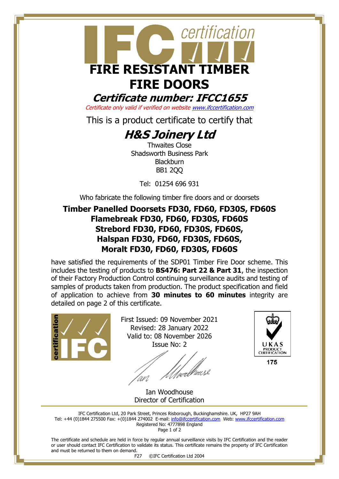

# **FIRE DOORS**

**Certificate number: IFCC1655**

Certificate only valid if verified on websit[e www.ifccertification.com](http://www.ifccertification.com/)

This is a product certificate to certify that

# **H&S Joinery Ltd**

Thwaites Close Shadsworth Business Park **Blackburn** BB1 2QQ

Tel: 01254 696 931

Who fabricate the following timber fire doors and or doorsets

## **Timber Panelled Doorsets FD30, FD60, FD30S, FD60S Flamebreak FD30, FD60, FD30S, FD60S Strebord FD30, FD60, FD30S, FD60S, Halspan FD30, FD60, FD30S, FD60S, Moralt FD30, FD60, FD30S, FD60S**

have satisfied the requirements of the SDP01 Timber Fire Door scheme. This includes the testing of products to **BS476: Part 22 & Part 31**, the inspection of their Factory Production Control continuing surveillance audits and testing of samples of products taken from production. The product specification and field of application to achieve from **30 minutes to 60 minutes** integrity are detailed on page 2 of this certificate.



First Issued: 09 November 2021 Revised: 28 January 2022 Valid to: 08 November 2026 Issue No: 2

//webbeuse



Ian Woodhouse Director of Certification

IFC Certification Ltd, 20 Park Street, Princes Risborough, Buckinghamshire. UK, HP27 9AH Tel: +44 (0)1844 275500 Fax: +(0)1844 274002 E-mail[: info@ifccertification.com](mailto:info@ifccertification.com) Web: [www.ifccertification.com](http://www.ifccertification.com/) Registered No: 4777898 England Page 1 of 2

The certificate and schedule are held in force by regular annual surveillance visits by IFC Certification and the reader or user should contact IFC Certification to validate its status. This certificate remains the property of IFC Certification and must be returned to them on demand.